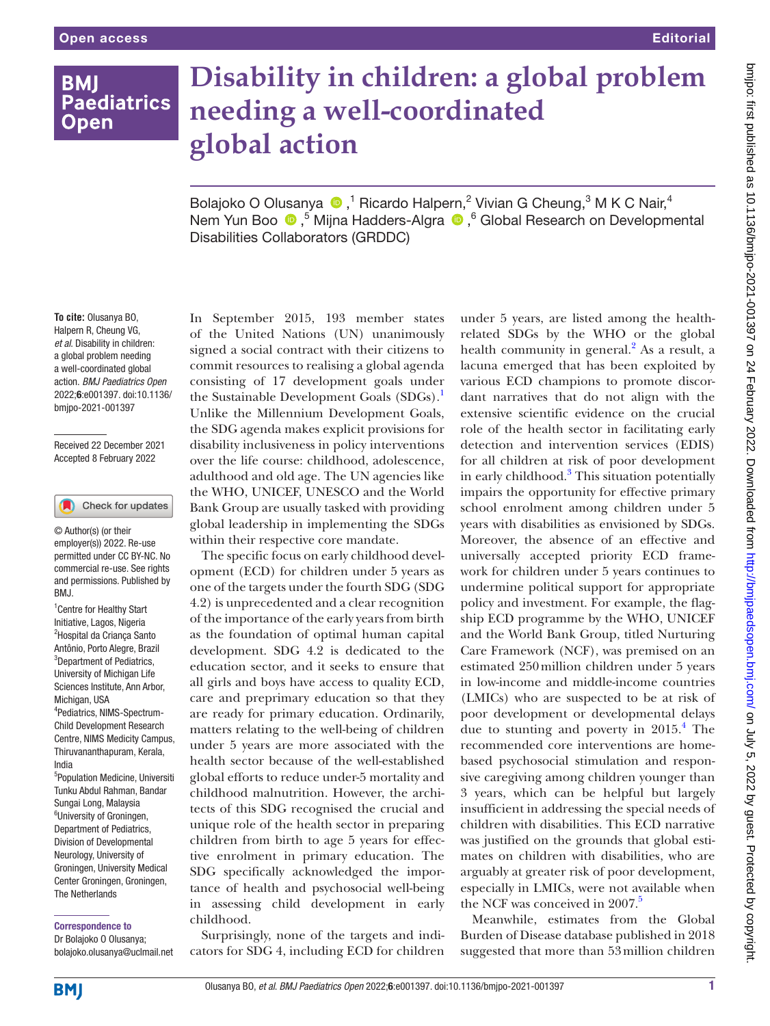# **BMI Paediatrics Open**

# **Disability in children: a global problem needing a well-coordinated global action**

BolajokoO Olusanya  $\bigcirc$ ,<sup>1</sup> Ricardo Halpern,<sup>2</sup> Vivian G Cheung,<sup>3</sup> M K C Nair,<sup>4</sup> Nem Yun Boo <sup>®</sup>,<sup>5</sup> Mijna Hadders-Algra <sup>®</sup>,<sup>6</sup> Global Research on Developmental Disabilities Collaborators (GRDDC)

#### **To cite:** Olusanya BO, Halpern R, Cheung VG, *et al*. Disability in children: a global problem needing a well-coordinated global action. *BMJ Paediatrics Open* 2022;6:e001397. doi:10.1136/ bmjpo-2021-001397

Received 22 December 2021 Accepted 8 February 2022

#### Check for updates

© Author(s) (or their employer(s)) 2022. Re-use permitted under CC BY-NC. No commercial re-use. See rights and permissions. Published by BMJ.

<sup>1</sup> Centre for Healthy Start Initiative, Lagos, Nigeria <sup>2</sup>Hospital da Criança Santo Antônio, Porto Alegre, Brazil <sup>3</sup>Department of Pediatrics, University of Michigan Life Sciences Institute, Ann Arbor, Michigan, USA 4 Pediatrics, NIMS-Spectrum-Child Development Research

Centre, NIMS Medicity Campus, Thiruvananthapuram, Kerala, India

5 Population Medicine, Universiti Tunku Abdul Rahman, Bandar Sungai Long, Malaysia <sup>6</sup>University of Groningen, Department of Pediatrics, Division of Developmental Neurology, University of Groningen, University Medical Center Groningen, Groningen, The Netherlands

#### Correspondence to

Dr Bolajoko O Olusanya; bolajoko.olusanya@uclmail.net

In September 2015, 193 member states of the United Nations (UN) unanimously signed a social contract with their citizens to commit resources to realising a global agenda consisting of 17 development goals under the Sustainable Development Goals (SDGs).<sup>1</sup> Unlike the Millennium Development Goals, the SDG agenda makes explicit provisions for disability inclusiveness in policy interventions over the life course: childhood, adolescence, adulthood and old age. The UN agencies like the WHO, UNICEF, UNESCO and the World Bank Group are usually tasked with providing global leadership in implementing the SDGs within their respective core mandate.

The specific focus on early childhood development (ECD) for children under 5 years as one of the targets under the fourth SDG (SDG 4.2) is unprecedented and a clear recognition of the importance of the early years from birth as the foundation of optimal human capital development. SDG 4.2 is dedicated to the education sector, and it seeks to ensure that all girls and boys have access to quality ECD, care and preprimary education so that they are ready for primary education. Ordinarily, matters relating to the well-being of children under 5 years are more associated with the health sector because of the well-established global efforts to reduce under-5 mortality and childhood malnutrition. However, the architects of this SDG recognised the crucial and unique role of the health sector in preparing children from birth to age 5 years for effective enrolment in primary education. The SDG specifically acknowledged the importance of health and psychosocial well-being in assessing child development in early childhood.

Surprisingly, none of the targets and indicators for SDG 4, including ECD for children

under 5 years, are listed among the healthrelated SDGs by the WHO or the global health community in general.<sup>2</sup> As a result, a lacuna emerged that has been exploited by various ECD champions to promote discordant narratives that do not align with the extensive scientific evidence on the crucial role of the health sector in facilitating early detection and intervention services (EDIS) for all children at risk of poor development in early childhood.<sup>3</sup> This situation potentially impairs the opportunity for effective primary school enrolment among children under 5 years with disabilities as envisioned by SDGs. Moreover, the absence of an effective and universally accepted priority ECD framework for children under 5 years continues to undermine political support for appropriate policy and investment. For example, the flagship ECD programme by the WHO, UNICEF and the World Bank Group, titled Nurturing Care Framework (NCF), was premised on an estimated 250million children under 5 years in low-income and middle-income countries (LMICs) who are suspected to be at risk of poor development or developmental delays due to stunting and poverty in 2015.<sup>4</sup> The recommended core interventions are homebased psychosocial stimulation and responsive caregiving among children younger than 3 years, which can be helpful but largely insufficient in addressing the special needs of children with disabilities. This ECD narrative was justified on the grounds that global estimates on children with disabilities, who are arguably at greater risk of poor development, especially in LMICs, were not available when the NCF was conceived in 2007.<sup>5</sup>

Meanwhile, estimates from the Global Burden of Disease database published in 2018 suggested that more than 53million children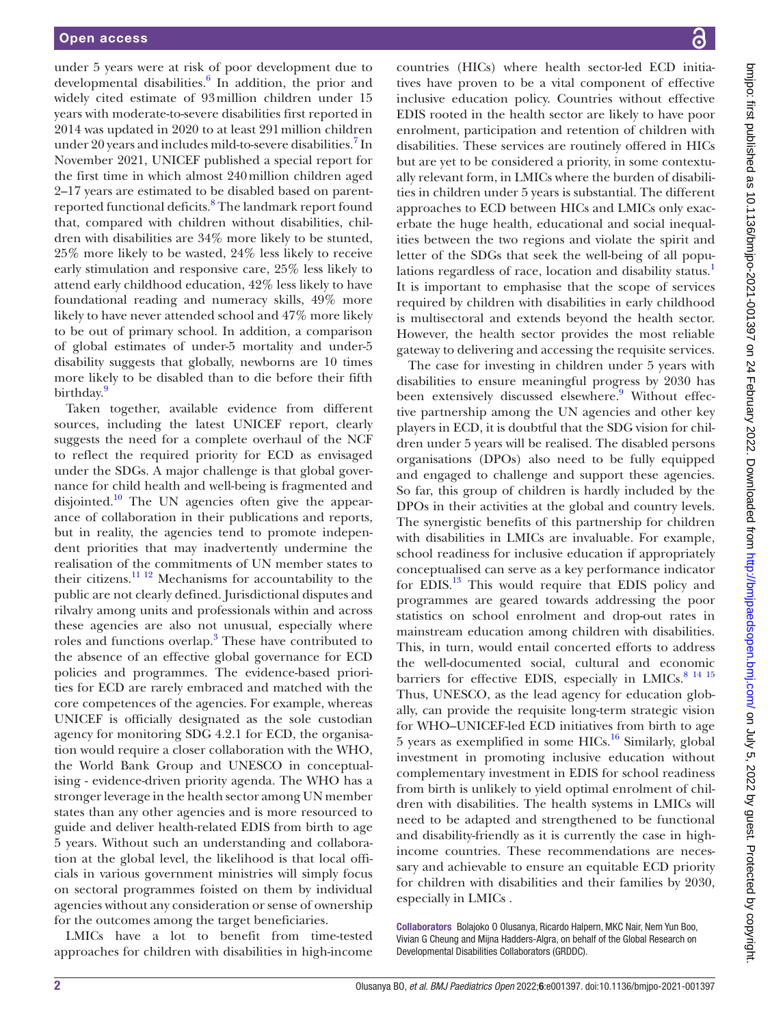under 5 years were at risk of poor development due to developmental disabilities.<sup>6</sup> In addition, the prior and widely cited estimate of 93million children under 15 years with moderate-to-severe disabilities first reported in 2014 was updated in 2020 to at least 291million children under 20 years and includes mild-to-severe disabilities.<sup>7</sup> In November 2021, UNICEF published a special report for the first time in which almost 240million children aged 2–17 years are estimated to be disabled based on parentreported functional deficits.<sup>8</sup> The landmark report found that, compared with children without disabilities, children with disabilities are 34% more likely to be stunted, 25% more likely to be wasted, 24% less likely to receive early stimulation and responsive care, 25% less likely to attend early childhood education, 42% less likely to have foundational reading and numeracy skills, 49% more likely to have never attended school and 47% more likely to be out of primary school. In addition, a comparison of global estimates of under-5 mortality and under-5 disability suggests that globally, newborns are 10 times more likely to be disabled than to die before their fifth birthday.<sup>9</sup>

Taken together, available evidence from different sources, including the latest UNICEF report, clearly suggests the need for a complete overhaul of the NCF to reflect the required priority for ECD as envisaged under the SDGs. A major challenge is that global governance for child health and well-being is fragmented and disjointed.<sup>10</sup> The UN agencies often give the appearance of collaboration in their publications and reports, but in reality, the agencies tend to promote independent priorities that may inadvertently undermine the realisation of the commitments of UN member states to their citizens.<sup>[11 12](#page-2-0)</sup> Mechanisms for accountability to the public are not clearly defined. Jurisdictional disputes and rilvalry among units and professionals within and across these agencies are also not unusual, especially where roles and functions overlap.<sup>3</sup> These have contributed to the absence of an effective global governance for ECD policies and programmes. The evidence-based priorities for ECD are rarely embraced and matched with the core competences of the agencies. For example, whereas UNICEF is officially designated as the sole custodian agency for monitoring SDG 4.2.1 for ECD, the organisation would require a closer collaboration with the WHO, the World Bank Group and UNESCO in conceptualising - evidence-driven priority agenda. The WHO has a stronger leverage in the health sector among UN member states than any other agencies and is more resourced to guide and deliver health-related EDIS from birth to age 5 years. Without such an understanding and collaboration at the global level, the likelihood is that local officials in various government ministries will simply focus on sectoral programmes foisted on them by individual agencies without any consideration or sense of ownership for the outcomes among the target beneficiaries.

LMICs have a lot to benefit from time-tested approaches for children with disabilities in high-income

countries (HICs) where health sector-led ECD initiatives have proven to be a vital component of effective inclusive education policy. Countries without effective EDIS rooted in the health sector are likely to have poor enrolment, participation and retention of children with disabilities. These services are routinely offered in HICs but are yet to be considered a priority, in some contextually relevant form, in LMICs where the burden of disabilities in children under 5 years is substantial. The different approaches to ECD between HICs and LMICs only exacerbate the huge health, educational and social inequalities between the two regions and violate the spirit and letter of the SDGs that seek the well-being of all popu-lations regardless of race, location and disability status.<sup>[1](#page-2-2)</sup> It is important to emphasise that the scope of services required by children with disabilities in early childhood is multisectoral and extends beyond the health sector. However, the health sector provides the most reliable gateway to delivering and accessing the requisite services.

The case for investing in children under 5 years with disabilities to ensure meaningful progress by 2030 has been extensively discussed elsewhere.<sup>9</sup> Without effective partnership among the UN agencies and other key players in ECD, it is doubtful that the SDG vision for children under 5 years will be realised. The disabled persons organisations (DPOs) also need to be fully equipped and engaged to challenge and support these agencies. So far, this group of children is hardly included by the DPOs in their activities at the global and country levels. The synergistic benefits of this partnership for children with disabilities in LMICs are invaluable. For example, school readiness for inclusive education if appropriately conceptualised can serve as a key performance indicator for EDIS.[13](#page-2-4) This would require that EDIS policy and programmes are geared towards addressing the poor statistics on school enrolment and drop-out rates in mainstream education among children with disabilities. This, in turn, would entail concerted efforts to address the well-documented social, cultural and economic barriers for effective EDIS, especially in LMICs.<sup>[8 14 15](#page-2-5)</sup> Thus, UNESCO, as the lead agency for education globally, can provide the requisite long-term strategic vision for WHO–UNICEF-led ECD initiatives from birth to age 5 years as exemplified in some  $HICs<sup>16</sup>$  $HICs<sup>16</sup>$  $HICs<sup>16</sup>$  Similarly, global investment in promoting inclusive education without complementary investment in EDIS for school readiness from birth is unlikely to yield optimal enrolment of children with disabilities. The health systems in LMICs will need to be adapted and strengthened to be functional and disability-friendly as it is currently the case in highincome countries. These recommendations are necessary and achievable to ensure an equitable ECD priority for children with disabilities and their families by 2030, especially in LMICs .

Collaborators Bolajoko O Olusanya, Ricardo Halpern, MKC Nair, Nem Yun Boo, Vivian G Cheung and Mijna Hadders-Algra, on behalf of the Global Research on Developmental Disabilities Collaborators (GRDDC).